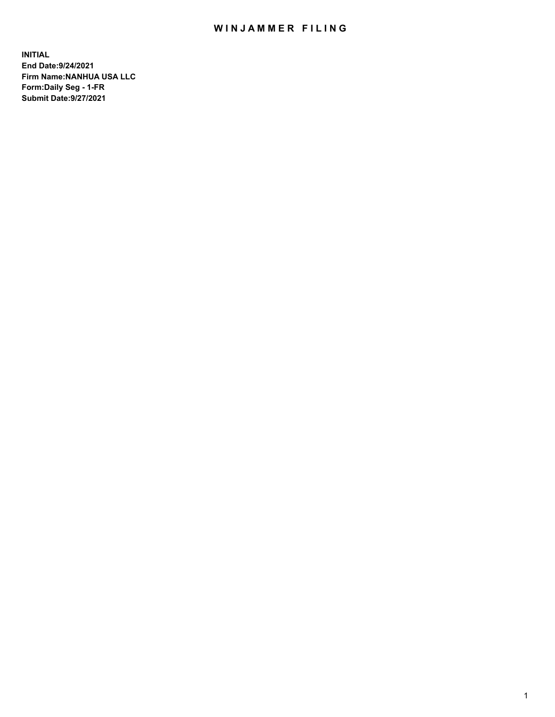## WIN JAMMER FILING

**INITIAL End Date:9/24/2021 Firm Name:NANHUA USA LLC Form:Daily Seg - 1-FR Submit Date:9/27/2021**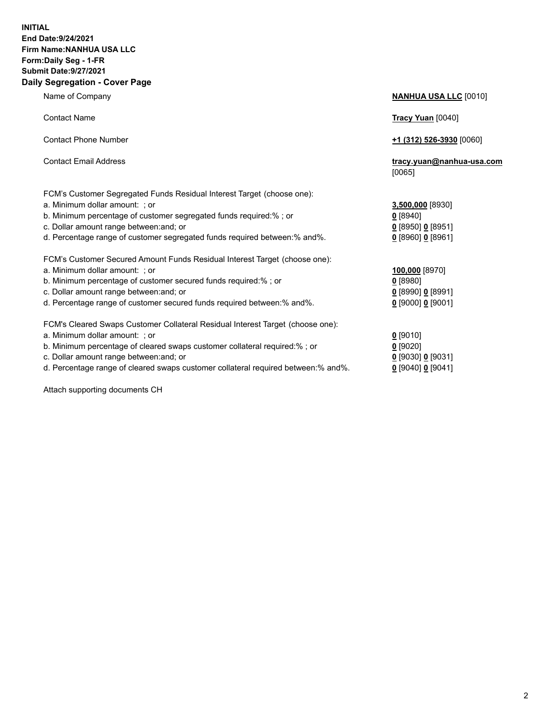### **INITIAL End Date:9/24/2021 Firm Name:NANHUA USA LLC Form:Daily Seg - 1-FR Submit Date:9/27/2021 Daily Segregation - Cover Page**

Name of Company **NANHUA USA LLC** [0010] Contact Name **Tracy Yuan** [0040] Contact Phone Number **+1 (312) 526-3930** [0060] Contact Email Address **tracy.yuan@nanhua-usa.com** [0065] FCM's Customer Segregated Funds Residual Interest Target (choose one): a. Minimum dollar amount: ; or **3,500,000** [8930] b. Minimum percentage of customer segregated funds required:% ; or **0** [8940] c. Dollar amount range between:and; or **0** [8950] **0** [8951] d. Percentage range of customer segregated funds required between:% and%. **0** [8960] **0** [8961] FCM's Customer Secured Amount Funds Residual Interest Target (choose one): a. Minimum dollar amount: ; or **100,000** [8970] b. Minimum percentage of customer secured funds required:% ; or **0** [8980] c. Dollar amount range between:and; or **0** [8990] **0** [8991] d. Percentage range of customer secured funds required between:% and%. **0** [9000] **0** [9001] FCM's Cleared Swaps Customer Collateral Residual Interest Target (choose one): a. Minimum dollar amount: ; or **0 g** b. Minimum percentage of cleared swaps customer collateral required:% ; or **0** c. Dollar amount range between:and; or **0** [9030] **0** [9031]

d. Percentage range of cleared swaps customer collateral required between:% and%. **0** [9041]

Attach supporting documents CH

| [9010]                 |
|------------------------|
| [9020]                 |
| [9030] 0 [9031]        |
| 190401 <b>0</b> 190411 |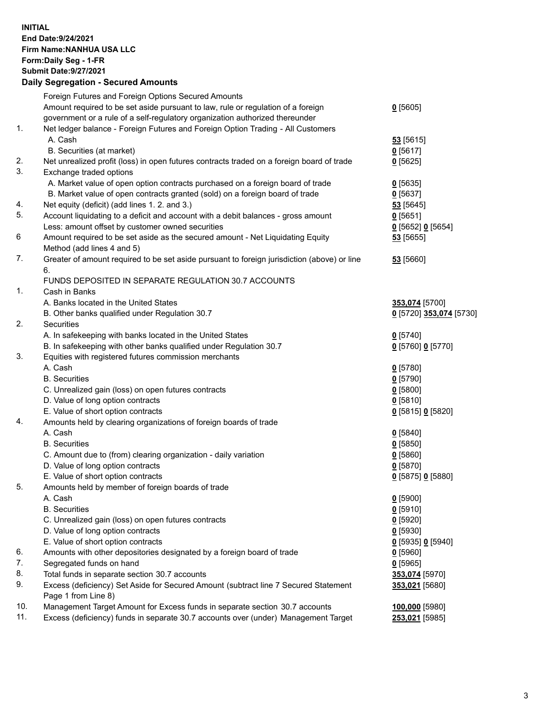**INITIAL End Date:9/24/2021 Firm Name:NANHUA USA LLC Form:Daily Seg - 1-FR Submit Date:9/27/2021**

# **Daily Segregation - Secured Amounts**

|     | Foreign Futures and Foreign Options Secured Amounts                                         |                         |
|-----|---------------------------------------------------------------------------------------------|-------------------------|
|     | Amount required to be set aside pursuant to law, rule or regulation of a foreign            | $0$ [5605]              |
|     | government or a rule of a self-regulatory organization authorized thereunder                |                         |
| 1.  | Net ledger balance - Foreign Futures and Foreign Option Trading - All Customers             |                         |
|     | A. Cash                                                                                     | 53 [5615]               |
|     | B. Securities (at market)                                                                   | $0$ [5617]              |
| 2.  | Net unrealized profit (loss) in open futures contracts traded on a foreign board of trade   | $0$ [5625]              |
| 3.  | Exchange traded options                                                                     |                         |
|     | A. Market value of open option contracts purchased on a foreign board of trade              | $0$ [5635]              |
|     | B. Market value of open contracts granted (sold) on a foreign board of trade                | $0$ [5637]              |
| 4.  | Net equity (deficit) (add lines 1. 2. and 3.)                                               | 53 [5645]               |
| 5.  | Account liquidating to a deficit and account with a debit balances - gross amount           | $0$ [5651]              |
|     | Less: amount offset by customer owned securities                                            | $0$ [5652] $0$ [5654]   |
| 6   | Amount required to be set aside as the secured amount - Net Liquidating Equity              | $53$ [5655]             |
|     | Method (add lines 4 and 5)                                                                  |                         |
| 7.  | Greater of amount required to be set aside pursuant to foreign jurisdiction (above) or line | 53 [5660]               |
|     | 6.                                                                                          |                         |
|     | FUNDS DEPOSITED IN SEPARATE REGULATION 30.7 ACCOUNTS                                        |                         |
| 1.  | Cash in Banks                                                                               |                         |
|     | A. Banks located in the United States                                                       | 353,074 [5700]          |
|     | B. Other banks qualified under Regulation 30.7                                              | 0 [5720] 353,074 [5730] |
| 2.  | <b>Securities</b>                                                                           |                         |
|     | A. In safekeeping with banks located in the United States                                   | $0$ [5740]              |
|     | B. In safekeeping with other banks qualified under Regulation 30.7                          | 0 [5760] 0 [5770]       |
| 3.  | Equities with registered futures commission merchants                                       |                         |
|     | A. Cash                                                                                     | $0$ [5780]              |
|     | <b>B.</b> Securities                                                                        | $0$ [5790]              |
|     | C. Unrealized gain (loss) on open futures contracts                                         | $0$ [5800]              |
|     | D. Value of long option contracts                                                           | $0$ [5810]              |
|     | E. Value of short option contracts                                                          | 0 [5815] 0 [5820]       |
| 4.  | Amounts held by clearing organizations of foreign boards of trade                           |                         |
|     | A. Cash                                                                                     | $0$ [5840]              |
|     | <b>B.</b> Securities                                                                        | $0$ [5850]              |
|     | C. Amount due to (from) clearing organization - daily variation                             | $0$ [5860]              |
|     | D. Value of long option contracts                                                           | $0$ [5870]              |
|     | E. Value of short option contracts                                                          | 0 [5875] 0 [5880]       |
| 5.  | Amounts held by member of foreign boards of trade                                           |                         |
|     | A. Cash                                                                                     | $0$ [5900]              |
|     | <b>B.</b> Securities                                                                        | $0$ [5910]              |
|     | C. Unrealized gain (loss) on open futures contracts                                         | $0$ [5920]              |
|     | D. Value of long option contracts                                                           | $0$ [5930]              |
|     | E. Value of short option contracts                                                          | 0 [5935] 0 [5940]       |
| 6.  | Amounts with other depositories designated by a foreign board of trade                      | $0$ [5960]              |
| 7.  | Segregated funds on hand                                                                    | $0$ [5965]              |
| 8.  | Total funds in separate section 30.7 accounts                                               | 353,074 [5970]          |
| 9.  | Excess (deficiency) Set Aside for Secured Amount (subtract line 7 Secured Statement         | 353,021 [5680]          |
|     | Page 1 from Line 8)                                                                         |                         |
| 10. | Management Target Amount for Excess funds in separate section 30.7 accounts                 | 100,000 [5980]          |
| 11. | Excess (deficiency) funds in separate 30.7 accounts over (under) Management Target          | 253,021 [5985]          |
|     |                                                                                             |                         |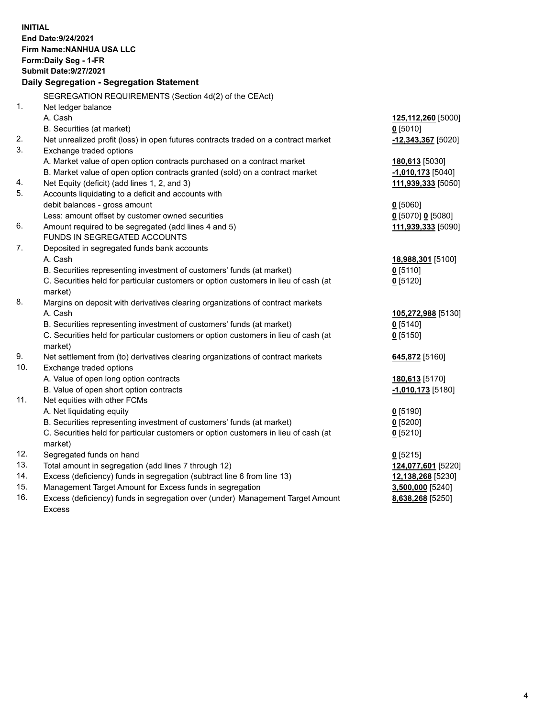| <b>INITIAL</b><br>End Date: 9/24/2021<br><b>Firm Name: NANHUA USA LLC</b><br>Form: Daily Seg - 1-FR<br><b>Submit Date: 9/27/2021</b><br>Daily Segregation - Segregation Statement |                                      |
|-----------------------------------------------------------------------------------------------------------------------------------------------------------------------------------|--------------------------------------|
| SEGREGATION REQUIREMENTS (Section 4d(2) of the CEAct)                                                                                                                             |                                      |
| $\mathbf{1}$ .<br>Net ledger balance                                                                                                                                              |                                      |
| A. Cash                                                                                                                                                                           | 125,112,260 [5000]                   |
| B. Securities (at market)                                                                                                                                                         | $0$ [5010]                           |
| 2.<br>Net unrealized profit (loss) in open futures contracts traded on a contract market                                                                                          | $-12,343,367$ [5020]                 |
| 3.<br>Exchange traded options                                                                                                                                                     |                                      |
| A. Market value of open option contracts purchased on a contract market                                                                                                           | 180,613 [5030]                       |
| B. Market value of open option contracts granted (sold) on a contract market                                                                                                      | $-1,010,173$ [5040]                  |
| Net Equity (deficit) (add lines 1, 2, and 3)<br>4.                                                                                                                                | 111,939,333 [5050]                   |
| 5.<br>Accounts liquidating to a deficit and accounts with                                                                                                                         |                                      |
| debit balances - gross amount                                                                                                                                                     | $0$ [5060]                           |
| Less: amount offset by customer owned securities                                                                                                                                  | 0 [5070] 0 [5080]                    |
| 6.<br>Amount required to be segregated (add lines 4 and 5)                                                                                                                        | 111,939,333 [5090]                   |
| FUNDS IN SEGREGATED ACCOUNTS                                                                                                                                                      |                                      |
| 7.<br>Deposited in segregated funds bank accounts                                                                                                                                 |                                      |
| A. Cash                                                                                                                                                                           | 18,988,301 [5100]                    |
| B. Securities representing investment of customers' funds (at market)                                                                                                             | $0$ [5110]                           |
| C. Securities held for particular customers or option customers in lieu of cash (at                                                                                               | $0$ [5120]                           |
| market)                                                                                                                                                                           |                                      |
| 8.<br>Margins on deposit with derivatives clearing organizations of contract markets                                                                                              |                                      |
| A. Cash                                                                                                                                                                           | 105,272,988 [5130]                   |
| B. Securities representing investment of customers' funds (at market)                                                                                                             | $0$ [5140]                           |
| C. Securities held for particular customers or option customers in lieu of cash (at                                                                                               | $0$ [5150]                           |
| market)                                                                                                                                                                           |                                      |
| 9.<br>Net settlement from (to) derivatives clearing organizations of contract markets                                                                                             | 645,872 [5160]                       |
| 10.<br>Exchange traded options                                                                                                                                                    |                                      |
| A. Value of open long option contracts                                                                                                                                            | 180,613 [5170]                       |
| B. Value of open short option contracts                                                                                                                                           | -1,010,173 <sup>[5180]</sup>         |
| 11.<br>Net equities with other FCMs                                                                                                                                               |                                      |
| A. Net liquidating equity                                                                                                                                                         | $0$ [5190]                           |
| B. Securities representing investment of customers' funds (at market)                                                                                                             | $0$ [5200]                           |
| C. Securities held for particular customers or option customers in lieu of cash (at                                                                                               | $0$ [5210]                           |
| market)                                                                                                                                                                           |                                      |
| 12.<br>Segregated funds on hand                                                                                                                                                   | $0$ [5215]                           |
| 13.<br>Total amount in segregation (add lines 7 through 12)<br>14.                                                                                                                | 124,077,601 [5220]                   |
| Excess (deficiency) funds in segregation (subtract line 6 from line 13)                                                                                                           |                                      |
|                                                                                                                                                                                   | 12,138,268 [5230]                    |
| 15.<br>Management Target Amount for Excess funds in segregation<br>16.<br>Excess (deficiency) funds in segregation over (under) Management Target Amount                          | 3,500,000 [5240]<br>8,638,268 [5250] |